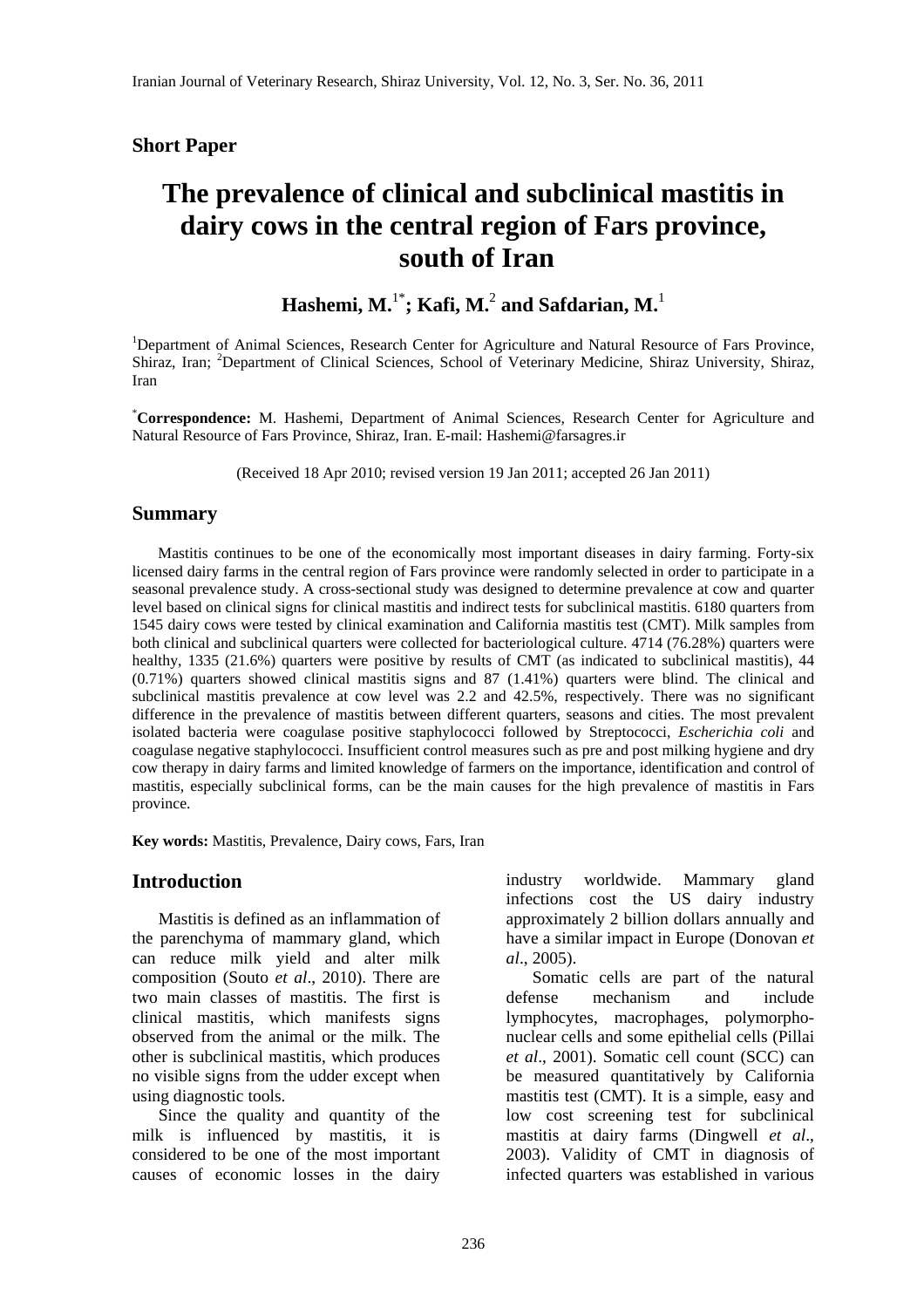### **Short Paper**

# **The prevalence of clinical and subclinical mastitis in dairy cows in the central region of Fars province, south of Iran**

**Hashemi, M.**1\***; Kafi, M.**<sup>2</sup>  **and Safdarian, M.**<sup>1</sup>

<sup>1</sup>Department of Animal Sciences, Research Center for Agriculture and Natural Resource of Fars Province, Shiraz, Iran; <sup>2</sup>Department of Clinical Sciences, School of Veterinary Medicine, Shiraz University, Shiraz, Iran

\* **Correspondence:** M. Hashemi, Department of Animal Sciences, Research Center for Agriculture and Natural Resource of Fars Province, Shiraz, Iran. E-mail: Hashemi@farsagres.ir

(Received 18 Apr 2010; revised version 19 Jan 2011; accepted 26 Jan 2011)

### **Summary**

 Mastitis continues to be one of the economically most important diseases in dairy farming. Forty-six licensed dairy farms in the central region of Fars province were randomly selected in order to participate in a seasonal prevalence study. A cross-sectional study was designed to determine prevalence at cow and quarter level based on clinical signs for clinical mastitis and indirect tests for subclinical mastitis. 6180 quarters from 1545 dairy cows were tested by clinical examination and California mastitis test (CMT). Milk samples from both clinical and subclinical quarters were collected for bacteriological culture. 4714 (76.28%) quarters were healthy, 1335 (21.6%) quarters were positive by results of CMT (as indicated to subclinical mastitis), 44 (0.71%) quarters showed clinical mastitis signs and 87 (1.41%) quarters were blind. The clinical and subclinical mastitis prevalence at cow level was 2.2 and 42.5%, respectively. There was no significant difference in the prevalence of mastitis between different quarters, seasons and cities. The most prevalent isolated bacteria were coagulase positive staphylococci followed by Streptococci, *Escherichia coli* and coagulase negative staphylococci. Insufficient control measures such as pre and post milking hygiene and dry cow therapy in dairy farms and limited knowledge of farmers on the importance, identification and control of mastitis, especially subclinical forms, can be the main causes for the high prevalence of mastitis in Fars province.

**Key words:** Mastitis, Prevalence, Dairy cows, Fars, Iran

### **Introduction**

 Mastitis is defined as an inflammation of the parenchyma of mammary gland, which can reduce milk yield and alter milk composition (Souto *et al*., 2010). There are two main classes of mastitis. The first is clinical mastitis, which manifests signs observed from the animal or the milk. The other is subclinical mastitis, which produces no visible signs from the udder except when using diagnostic tools.

 Since the quality and quantity of the milk is influenced by mastitis, it is considered to be one of the most important causes of economic losses in the dairy industry worldwide. Mammary gland infections cost the US dairy industry approximately 2 billion dollars annually and have a similar impact in Europe (Donovan *et al*., 2005).

 Somatic cells are part of the natural defense mechanism and include lymphocytes, macrophages, polymorphonuclear cells and some epithelial cells (Pillai *et al*., 2001). Somatic cell count (SCC) can be measured quantitatively by California mastitis test (CMT). It is a simple, easy and low cost screening test for subclinical mastitis at dairy farms (Dingwell *et al*., 2003). Validity of CMT in diagnosis of infected quarters was established in various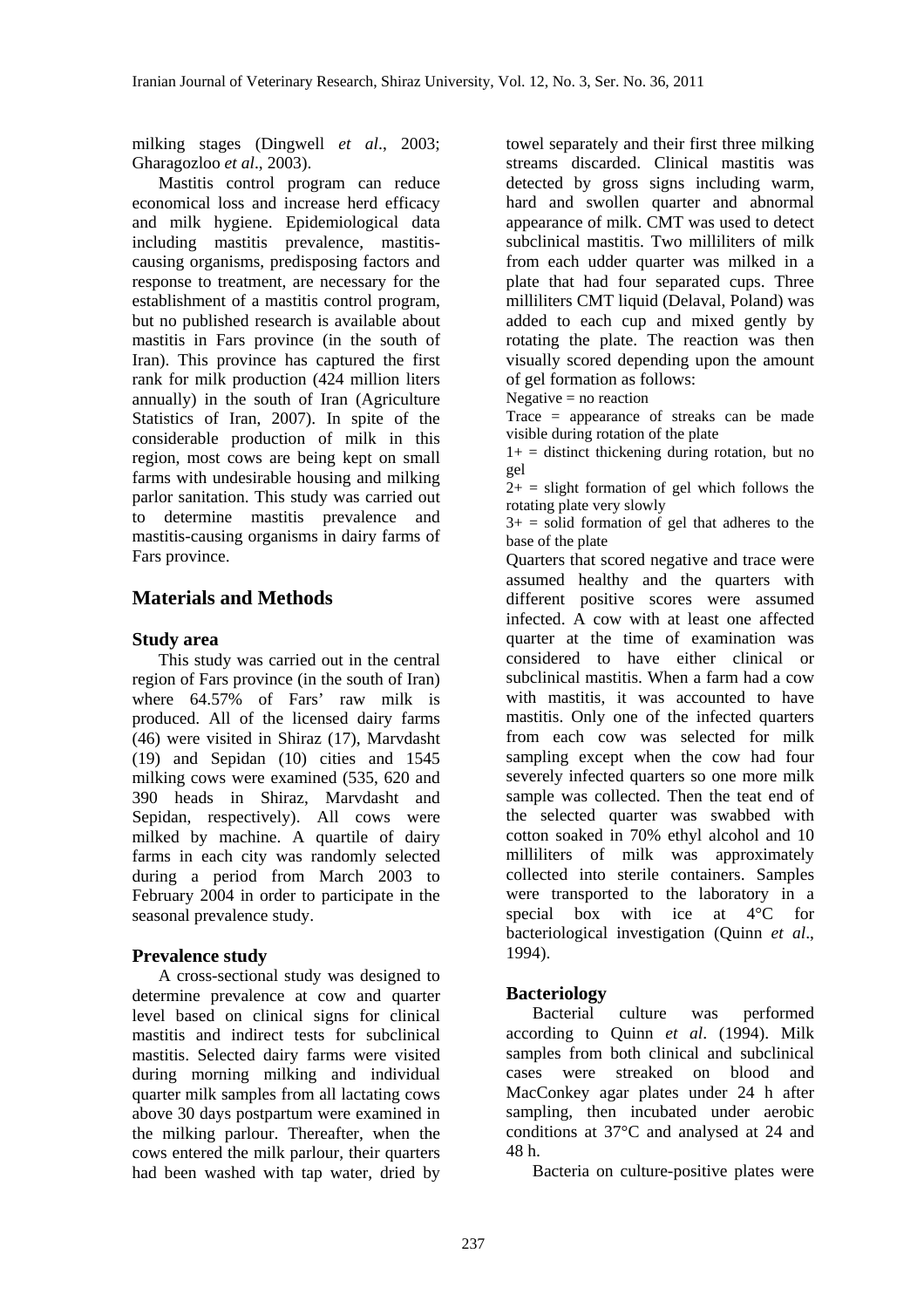milking stages (Dingwell *et al*., 2003; Gharagozloo *et al*., 2003).

 Mastitis control program can reduce economical loss and increase herd efficacy and milk hygiene. Epidemiological data including mastitis prevalence, mastitiscausing organisms, predisposing factors and response to treatment, are necessary for the establishment of a mastitis control program, but no published research is available about mastitis in Fars province (in the south of Iran). This province has captured the first rank for milk production (424 million liters annually) in the south of Iran (Agriculture Statistics of Iran, 2007). In spite of the considerable production of milk in this region, most cows are being kept on small farms with undesirable housing and milking parlor sanitation. This study was carried out to determine mastitis prevalence and mastitis-causing organisms in dairy farms of Fars province.

# **Materials and Methods**

# **Study area**

 This study was carried out in the central region of Fars province (in the south of Iran) where 64.57% of Fars' raw milk is produced. All of the licensed dairy farms (46) were visited in Shiraz (17), Marvdasht (19) and Sepidan (10) cities and 1545 milking cows were examined (535, 620 and 390 heads in Shiraz, Marvdasht and Sepidan, respectively). All cows were milked by machine. A quartile of dairy farms in each city was randomly selected during a period from March 2003 to February 2004 in order to participate in the seasonal prevalence study.

# **Prevalence study**

 A cross-sectional study was designed to determine prevalence at cow and quarter level based on clinical signs for clinical mastitis and indirect tests for subclinical mastitis. Selected dairy farms were visited during morning milking and individual quarter milk samples from all lactating cows above 30 days postpartum were examined in the milking parlour. Thereafter, when the cows entered the milk parlour, their quarters had been washed with tap water, dried by

towel separately and their first three milking streams discarded. Clinical mastitis was detected by gross signs including warm, hard and swollen quarter and abnormal appearance of milk. CMT was used to detect subclinical mastitis. Two milliliters of milk from each udder quarter was milked in a plate that had four separated cups. Three milliliters CMT liquid (Delaval, Poland) was added to each cup and mixed gently by rotating the plate. The reaction was then visually scored depending upon the amount of gel formation as follows:

Negative  $=$  no reaction

Trace = appearance of streaks can be made visible during rotation of the plate

 $1+$  = distinct thickening during rotation, but no gel

 $2+$  = slight formation of gel which follows the rotating plate very slowly

 $3+$  = solid formation of gel that adheres to the base of the plate

Quarters that scored negative and trace were assumed healthy and the quarters with different positive scores were assumed infected. A cow with at least one affected quarter at the time of examination was considered to have either clinical or subclinical mastitis. When a farm had a cow with mastitis, it was accounted to have mastitis. Only one of the infected quarters from each cow was selected for milk sampling except when the cow had four severely infected quarters so one more milk sample was collected. Then the teat end of the selected quarter was swabbed with cotton soaked in 70% ethyl alcohol and 10 milliliters of milk was approximately collected into sterile containers. Samples were transported to the laboratory in a special box with ice at 4°C for bacteriological investigation (Quinn *et al*., 1994).

# **Bacteriology**

 Bacterial culture was performed according to Quinn *et al*. (1994). Milk samples from both clinical and subclinical cases were streaked on blood and MacConkey agar plates under 24 h after sampling, then incubated under aerobic conditions at 37°C and analysed at 24 and 48 h.

Bacteria on culture-positive plates were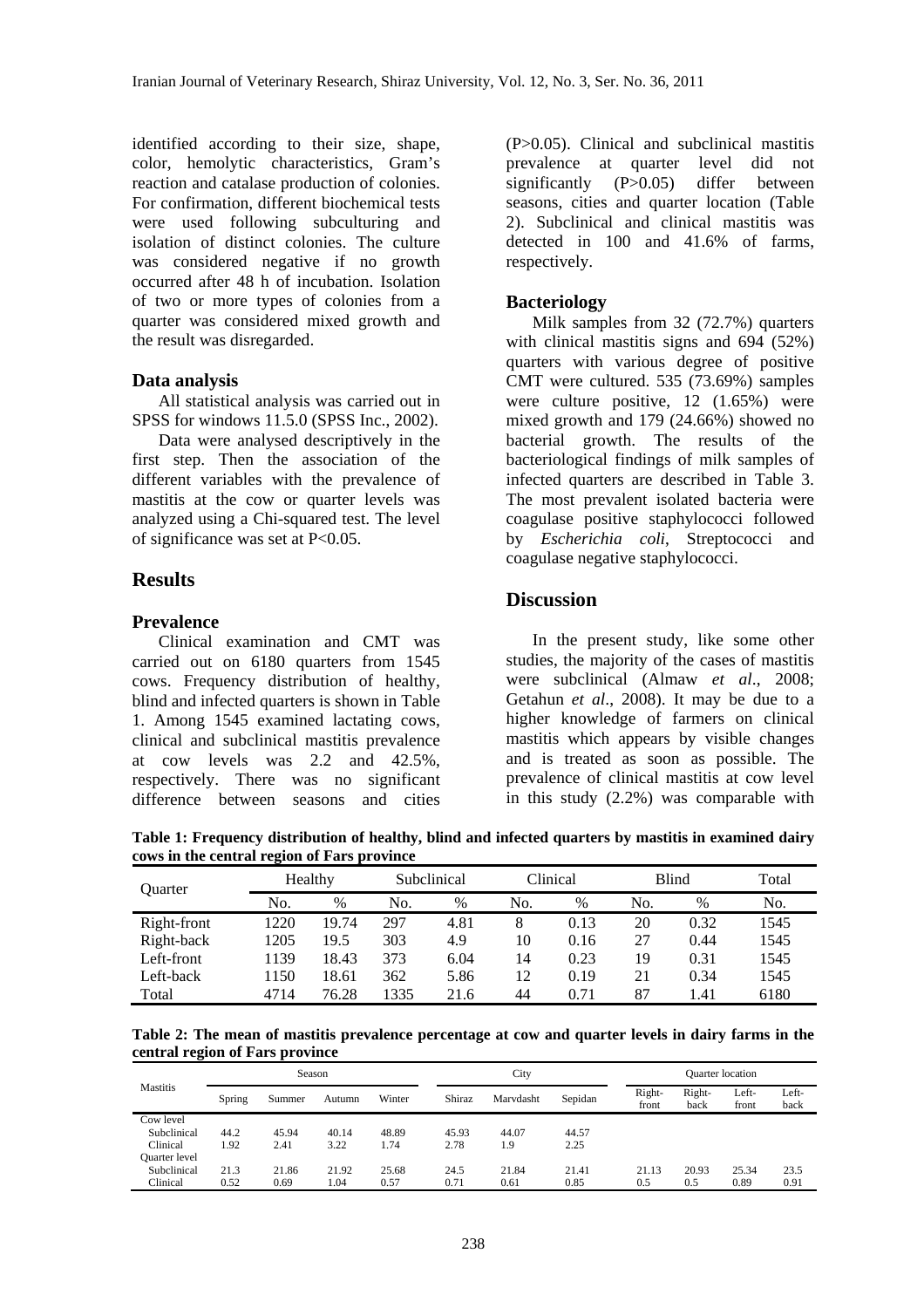identified according to their size, shape, color, hemolytic characteristics, Gram's reaction and catalase production of colonies. For confirmation, different biochemical tests were used following subculturing and isolation of distinct colonies. The culture was considered negative if no growth occurred after 48 h of incubation. Isolation of two or more types of colonies from a quarter was considered mixed growth and the result was disregarded.

#### **Data analysis**

 All statistical analysis was carried out in SPSS for windows 11.5.0 (SPSS Inc., 2002).

 Data were analysed descriptively in the first step. Then the association of the different variables with the prevalence of mastitis at the cow or quarter levels was analyzed using a Chi-squared test. The level of significance was set at P<0.05.

#### **Results**

#### **Prevalence**

 Clinical examination and CMT was carried out on 6180 quarters from 1545 cows. Frequency distribution of healthy, blind and infected quarters is shown in Table 1. Among 1545 examined lactating cows, clinical and subclinical mastitis prevalence at cow levels was 2.2 and 42.5%, respectively. There was no significant difference between seasons and cities (P>0.05). Clinical and subclinical mastitis prevalence at quarter level did not significantly (P>0.05) differ between seasons, cities and quarter location (Table 2). Subclinical and clinical mastitis was detected in 100 and 41.6% of farms, respectively.

#### **Bacteriology**

 Milk samples from 32 (72.7%) quarters with clinical mastitis signs and 694 (52%) quarters with various degree of positive CMT were cultured. 535 (73.69%) samples were culture positive, 12 (1.65%) were mixed growth and 179 (24.66%) showed no bacterial growth. The results of the bacteriological findings of milk samples of infected quarters are described in Table 3. The most prevalent isolated bacteria were coagulase positive staphylococci followed by *Escherichia coli*, Streptococci and coagulase negative staphylococci.

#### **Discussion**

 In the present study, like some other studies, the majority of the cases of mastitis were subclinical (Almaw *et al*., 2008; Getahun *et al*., 2008). It may be due to a higher knowledge of farmers on clinical mastitis which appears by visible changes and is treated as soon as possible. The prevalence of clinical mastitis at cow level in this study (2.2%) was comparable with

**Table 1: Frequency distribution of healthy, blind and infected quarters by mastitis in examined dairy cows in the central region of Fars province** 

| <b>Ouarter</b> | Healthy |       | Subclinical |      | Clinical |      | <b>Blind</b> |      | Total |  |
|----------------|---------|-------|-------------|------|----------|------|--------------|------|-------|--|
|                | No.     | %     | No.         | $\%$ | No.      | $\%$ | No.          | $\%$ | No.   |  |
| Right-front    | 1220    | 19.74 | 297         | 4.81 | 8        | 0.13 | 20           | 0.32 | 1545  |  |
| Right-back     | 1205    | 19.5  | 303         | 4.9  | 10       | 0.16 | 27           | 0.44 | 1545  |  |
| Left-front     | 1139    | 18.43 | 373         | 6.04 | 14       | 0.23 | 19           | 0.31 | 1545  |  |
| Left-back      | 1150    | 18.61 | 362         | 5.86 | 12       | 0.19 | 21           | 0.34 | 1545  |  |
| Total          | 4714    | 76.28 | 1335        | 21.6 | 44       | 0.71 | 87           | 1.41 | 6180  |  |

**Table 2: The mean of mastitis prevalence percentage at cow and quarter levels in dairy farms in the central region of Fars province** 

| <b>Mastitis</b> | Season |        |        | City   |        |           | <b>Quarter</b> location |                 |                |                |               |
|-----------------|--------|--------|--------|--------|--------|-----------|-------------------------|-----------------|----------------|----------------|---------------|
|                 | Spring | Summer | Autumn | Winter | Shiraz | Marydasht | Sepidan                 | Right-<br>front | Right-<br>back | Left-<br>front | Left-<br>back |
| Cow level       |        |        |        |        |        |           |                         |                 |                |                |               |
| Subclinical     | 44.2   | 45.94  | 40.14  | 48.89  | 45.93  | 44.07     | 44.57                   |                 |                |                |               |
| Clinical        | 1.92   | 2.41   | 3.22   | 1.74   | 2.78   | 1.9       | 2.25                    |                 |                |                |               |
| Quarter level   |        |        |        |        |        |           |                         |                 |                |                |               |
| Subclinical     | 21.3   | 21.86  | 21.92  | 25.68  | 24.5   | 21.84     | 21.41                   | 21.13           | 20.93          | 25.34          | 23.5          |
| Clinical        | 0.52   | 0.69   | 1.04   | 0.57   | 0.71   | 0.61      | 0.85                    | 0.5             | 0.5            | 0.89           | 0.91          |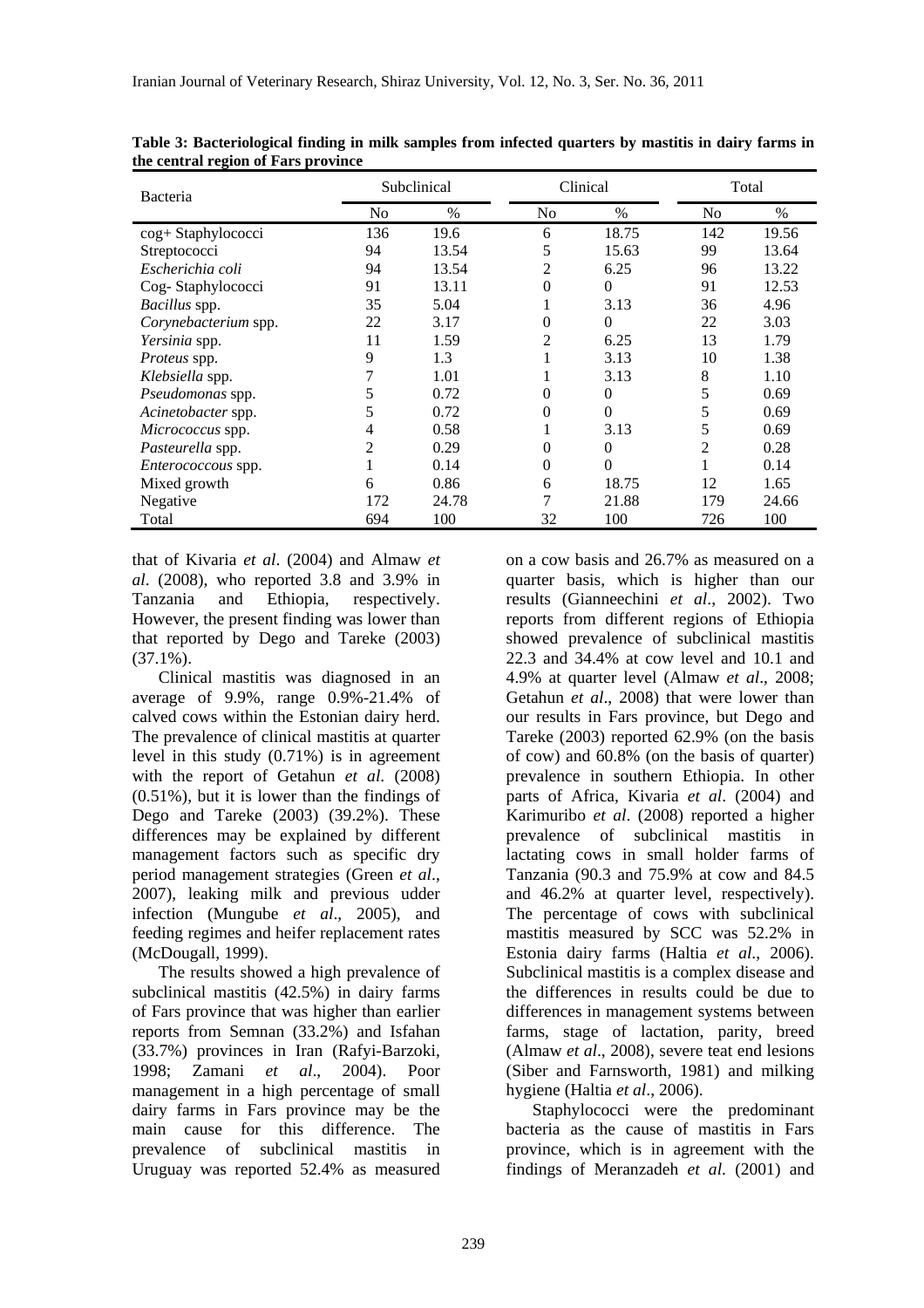| Bacteria                  |                | Subclinical |                | Clinical | Total          |       |  |
|---------------------------|----------------|-------------|----------------|----------|----------------|-------|--|
|                           | N <sub>0</sub> | $\%$        | N <sub>0</sub> | $\%$     | N <sub>0</sub> | $\%$  |  |
| cog+ Staphylococci        | 136            | 19.6        | 6              | 18.75    | 142            | 19.56 |  |
| Streptococci              | 94             | 13.54       | 5              | 15.63    | 99             | 13.64 |  |
| Escherichia coli          | 94             | 13.54       | 2              | 6.25     | 96             | 13.22 |  |
| Cog-Staphylococci         | 91             | 13.11       | 0              | $\Omega$ | 91             | 12.53 |  |
| Bacillus spp.             | 35             | 5.04        |                | 3.13     | 36             | 4.96  |  |
| Corynebacterium spp.      | 22             | 3.17        | 0              | $\Omega$ | 22             | 3.03  |  |
| Yersinia spp.             | 11             | 1.59        | 2              | 6.25     | 13             | 1.79  |  |
| <i>Proteus</i> spp.       | 9              | 1.3         |                | 3.13     | 10             | 1.38  |  |
| Klebsiella spp.           |                | 1.01        |                | 3.13     | 8              | 1.10  |  |
| Pseudomonas spp.          | 5              | 0.72        | 0              | $\Omega$ | 5              | 0.69  |  |
| Acinetobacter spp.        | 5              | 0.72        | 0              | $\theta$ | 5              | 0.69  |  |
| <i>Micrococcus</i> spp.   | 4              | 0.58        |                | 3.13     | 5              | 0.69  |  |
| Pasteurella spp.          | 2              | 0.29        | 0              | $\theta$ | 2              | 0.28  |  |
| <i>Enterococcous</i> spp. |                | 0.14        | 0              | $\theta$ |                | 0.14  |  |
| Mixed growth              | 6              | 0.86        | 6              | 18.75    | 12             | 1.65  |  |
| Negative                  | 172            | 24.78       |                | 21.88    | 179            | 24.66 |  |
| Total                     | 694            | 100         | 32             | 100      | 726            | 100   |  |

**Table 3: Bacteriological finding in milk samples from infected quarters by mastitis in dairy farms in the central region of Fars province** 

that of Kivaria *et al*. (2004) and Almaw *et al*. (2008), who reported 3.8 and 3.9% in Tanzania and Ethiopia, respectively. However, the present finding was lower than that reported by Dego and Tareke (2003)  $(37.1\%)$ .

 Clinical mastitis was diagnosed in an average of 9.9%, range 0.9%-21.4% of calved cows within the Estonian dairy herd. The prevalence of clinical mastitis at quarter level in this study (0.71%) is in agreement with the report of Getahun *et al*. (2008) (0.51%), but it is lower than the findings of Dego and Tareke (2003) (39.2%). These differences may be explained by different management factors such as specific dry period management strategies (Green *et al*., 2007), leaking milk and previous udder infection (Mungube *et al*., 2005), and feeding regimes and heifer replacement rates (McDougall, 1999).

 The results showed a high prevalence of subclinical mastitis (42.5%) in dairy farms of Fars province that was higher than earlier reports from Semnan (33.2%) and Isfahan (33.7%) provinces in Iran (Rafyi-Barzoki, 1998; Zamani *et al*., 2004). Poor management in a high percentage of small dairy farms in Fars province may be the main cause for this difference. The prevalence of subclinical mastitis in Uruguay was reported 52.4% as measured on a cow basis and 26.7% as measured on a quarter basis, which is higher than our results (Gianneechini *et al*., 2002). Two reports from different regions of Ethiopia showed prevalence of subclinical mastitis 22.3 and 34.4% at cow level and 10.1 and 4.9% at quarter level (Almaw *et al*., 2008; Getahun *et al*., 2008) that were lower than our results in Fars province, but Dego and Tareke (2003) reported 62.9% (on the basis of cow) and 60.8% (on the basis of quarter) prevalence in southern Ethiopia. In other parts of Africa, Kivaria *et al*. (2004) and Karimuribo *et al*. (2008) reported a higher prevalence of subclinical mastitis in lactating cows in small holder farms of Tanzania (90.3 and 75.9% at cow and 84.5 and 46.2% at quarter level, respectively). The percentage of cows with subclinical mastitis measured by SCC was 52.2% in Estonia dairy farms (Haltia *et al*., 2006). Subclinical mastitis is a complex disease and the differences in results could be due to differences in management systems between farms, stage of lactation, parity, breed (Almaw *et al*., 2008), severe teat end lesions (Siber and Farnsworth, 1981) and milking hygiene (Haltia *et al*., 2006).

 Staphylococci were the predominant bacteria as the cause of mastitis in Fars province, which is in agreement with the findings of Meranzadeh *et al*. (2001) and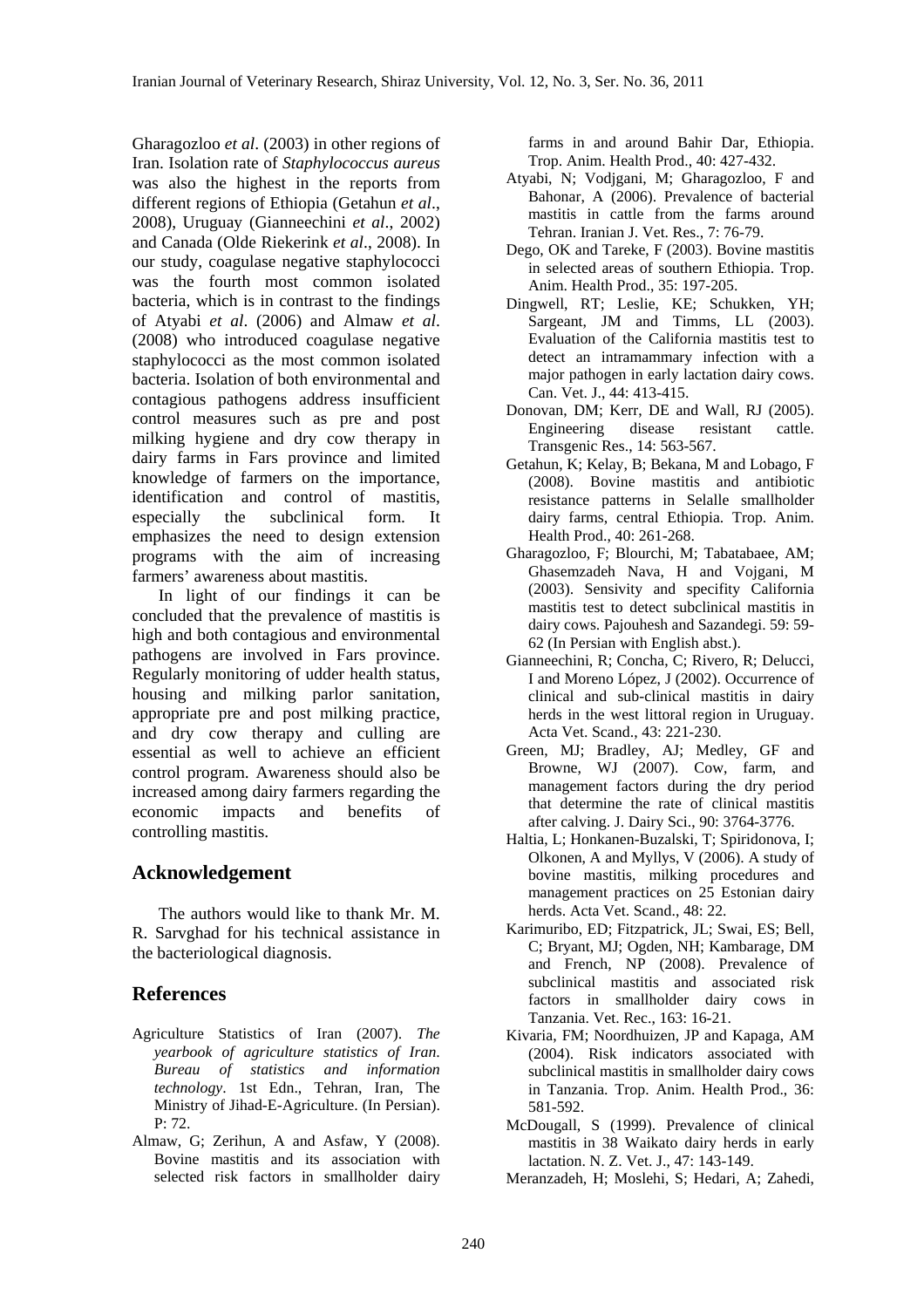Gharagozloo *et al*. (2003) in other regions of Iran. Isolation rate of *Staphylococcus aureus* was also the highest in the reports from different regions of Ethiopia (Getahun *et al*., 2008), Uruguay (Gianneechini *et al*., 2002) and Canada (Olde Riekerink *et al*., 2008). In our study, coagulase negative staphylococci was the fourth most common isolated bacteria, which is in contrast to the findings of Atyabi *et al*. (2006) and Almaw *et al*. (2008) who introduced coagulase negative staphylococci as the most common isolated bacteria. Isolation of both environmental and contagious pathogens address insufficient control measures such as pre and post milking hygiene and dry cow therapy in dairy farms in Fars province and limited knowledge of farmers on the importance, identification and control of mastitis, especially the subclinical form. It emphasizes the need to design extension programs with the aim of increasing farmers' awareness about mastitis.

 In light of our findings it can be concluded that the prevalence of mastitis is high and both contagious and environmental pathogens are involved in Fars province. Regularly monitoring of udder health status, housing and milking parlor sanitation, appropriate pre and post milking practice, and dry cow therapy and culling are essential as well to achieve an efficient control program. Awareness should also be increased among dairy farmers regarding the economic impacts and benefits of controlling mastitis.

# **Acknowledgement**

 The authors would like to thank Mr. M. R. Sarvghad for his technical assistance in the bacteriological diagnosis.

# **References**

- Agriculture Statistics of Iran (2007). *The yearbook of agriculture statistics of Iran*. *Bureau of statistics and information technology*. 1st Edn., Tehran, Iran, The Ministry of Jihad-E-Agriculture. (In Persian). P: 72.
- Almaw, G; Zerihun, A and Asfaw, Y (2008). Bovine mastitis and its association with selected risk factors in smallholder dairy

farms in and around Bahir Dar, Ethiopia. Trop. Anim. Health Prod., 40: 427-432.

- Atyabi, N; Vodjgani, M; Gharagozloo, F and Bahonar, A (2006). Prevalence of bacterial mastitis in cattle from the farms around Tehran. Iranian J. Vet. Res., 7: 76-79.
- Dego, OK and Tareke, F (2003). Bovine mastitis in selected areas of southern Ethiopia. Trop. Anim. Health Prod., 35: 197-205.
- Dingwell, RT; Leslie, KE; Schukken, YH; Sargeant, JM and Timms, LL (2003). Evaluation of the California mastitis test to detect an intramammary infection with a major pathogen in early lactation dairy cows. Can. Vet. J., 44: 413-415.
- Donovan, DM; Kerr, DE and Wall, RJ (2005). Engineering disease resistant cattle. Transgenic Res., 14: 563-567.
- Getahun, K; Kelay, B; Bekana, M and Lobago, F (2008). Bovine mastitis and antibiotic resistance patterns in Selalle smallholder dairy farms, central Ethiopia. Trop. Anim. Health Prod., 40: 261-268.
- Gharagozloo, F; Blourchi, M; Tabatabaee, AM; Ghasemzadeh Nava, H and Vojgani, M (2003). Sensivity and specifity California mastitis test to detect subclinical mastitis in dairy cows. Pajouhesh and Sazandegi. 59: 59- 62 (In Persian with English abst.).
- Gianneechini, R; Concha, C; Rivero, R; Delucci, I and Moreno López, J (2002). Occurrence of clinical and sub-clinical mastitis in dairy herds in the west littoral region in Uruguay. Acta Vet. Scand., 43: 221-230.
- Green, MJ; Bradley, AJ; Medley, GF and Browne, WJ (2007). Cow, farm, and management factors during the dry period that determine the rate of clinical mastitis after calving. J. Dairy Sci., 90: 3764-3776.
- Haltia, L; Honkanen-Buzalski, T; Spiridonova, I; Olkonen, A and Myllys, V (2006). A study of bovine mastitis, milking procedures and management practices on 25 Estonian dairy herds. Acta Vet. Scand., 48: 22.
- Karimuribo, ED; Fitzpatrick, JL; Swai, ES; Bell, C; Bryant, MJ; Ogden, NH; Kambarage, DM and French, NP (2008). Prevalence of subclinical mastitis and associated risk factors in smallholder dairy cows in Tanzania. Vet. Rec., 163: 16-21.
- Kivaria, FM; Noordhuizen, JP and Kapaga, AM (2004). Risk indicators associated with subclinical mastitis in smallholder dairy cows in Tanzania. Trop. Anim. Health Prod., 36: 581-592.
- McDougall, S (1999). Prevalence of clinical mastitis in 38 Waikato dairy herds in early lactation. N. Z. Vet. J., 47: 143-149.
- Meranzadeh, H; Moslehi, S; Hedari, A; Zahedi,